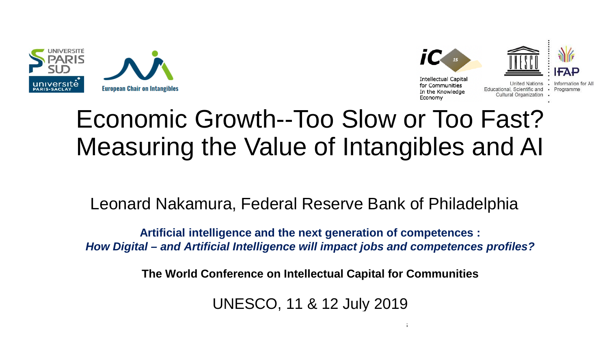



**United Nations** Educational, Scientific and · Programme Cultural Organization

# Economic Growth--Too Slow or Too Fast? Measuring the Value of Intangibles and AI

Leonard Nakamura, Federal Reserve Bank of Philadelphia

**Artificial intelligence and the next generation of competences :** *How Digital – and Artificial Intelligence will impact jobs and competences profiles?*

**The World Conference on Intellectual Capital for Communities**

UNESCO, 11 & 12 July 2019

 $11.12$  July 2019 The World Conference on Intellectual Capital for Communities on Intellectual for Communities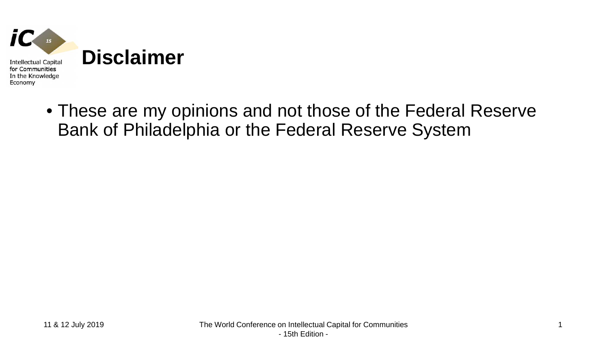

• These are my opinions and not those of the Federal Reserve Bank of Philadelphia or the Federal Reserve System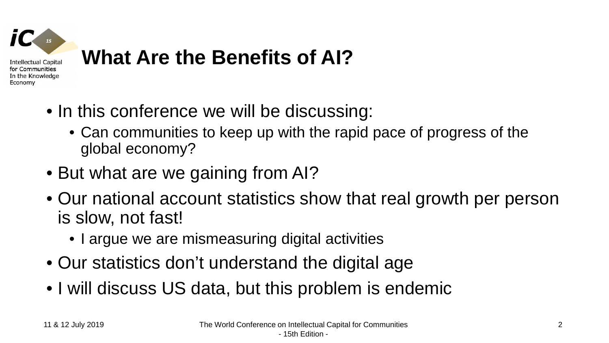

- In this conference we will be discussing:
	- Can communities to keep up with the rapid pace of progress of the global economy?
- But what are we gaining from AI?
- Our national account statistics show that real growth per person is slow, not fast!
	- I argue we are mismeasuring digital activities
- Our statistics don't understand the digital age
- I will discuss US data, but this problem is endemic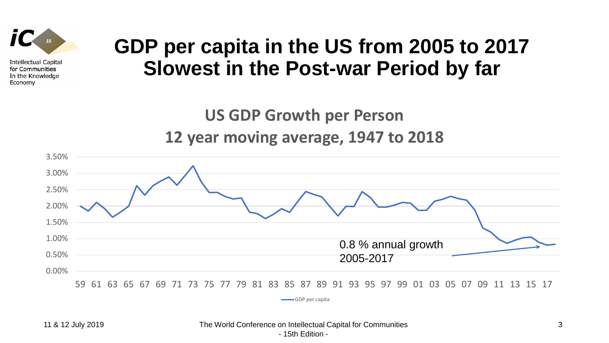

### **GDP per capita in the US from 2005 to 2017 Slowest in the Post-war Period by far**

**US GDP Growth per Person 12 year moving average, 1947 to 2018**

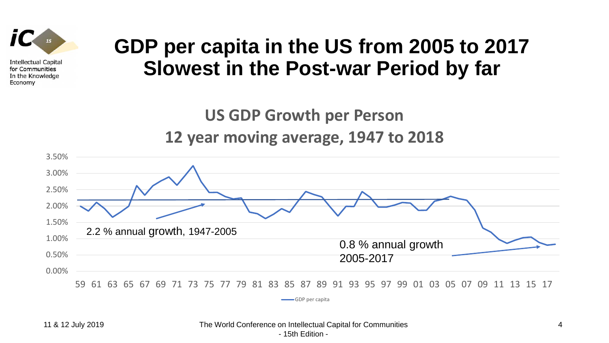

### **GDP per capita in the US from 2005 to 2017 Slowest in the Post-war Period by far**

**US GDP Growth per Person 12 year moving average, 1947 to 2018**

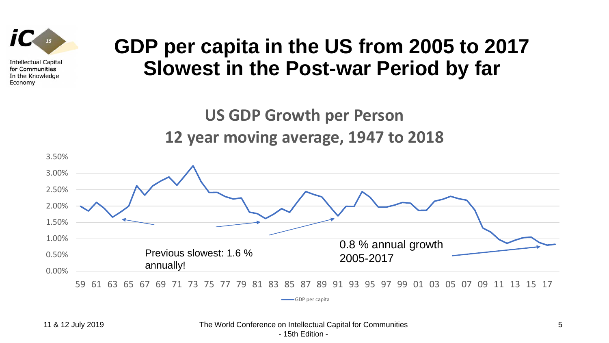

### **GDP per capita in the US from 2005 to 2017 Slowest in the Post-war Period by far**

**US GDP Growth per Person 12 year moving average, 1947 to 2018**

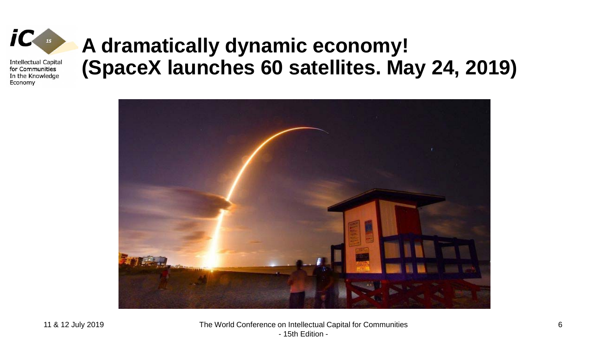

## **A dramatically dynamic economy! (SpaceX launches 60 satellites. May 24, 2019)**

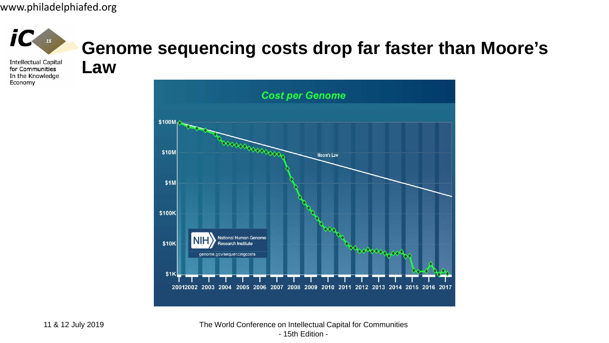#### www.philadelphiafed.org



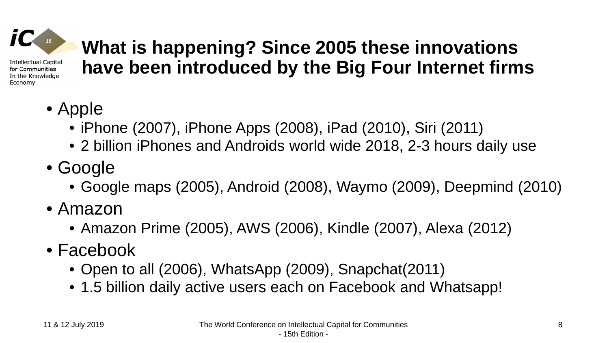

### **What is happening? Since 2005 these innovations have been introduced by the Big Four Internet firms**

- Apple
	- iPhone (2007), iPhone Apps (2008), iPad (2010), Siri (2011)
	- 2 billion iPhones and Androids world wide 2018, 2-3 hours daily use
- Google
	- Google maps (2005), Android (2008), Waymo (2009), Deepmind (2010)
- Amazon
	- Amazon Prime (2005), AWS (2006), Kindle (2007), Alexa (2012)
- Facebook
	- Open to all (2006), WhatsApp (2009), Snapchat(2011)
	- 1.5 billion daily active users each on Facebook and Whatsapp!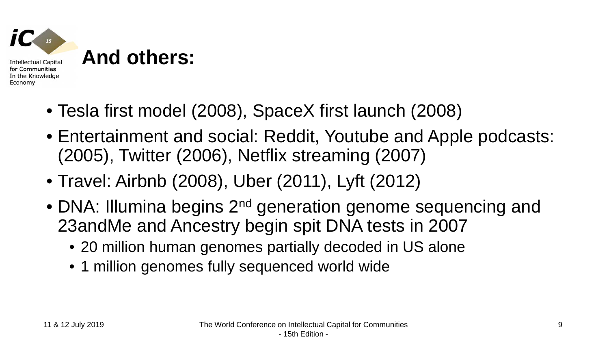

- Tesla first model (2008), SpaceX first launch (2008)
- Entertainment and social: Reddit, Youtube and Apple podcasts: (2005), Twitter (2006), Netflix streaming (2007)
- Travel: Airbnb (2008), Uber (2011), Lyft (2012)
- DNA: Illumina begins 2<sup>nd</sup> generation genome sequencing and 23andMe and Ancestry begin spit DNA tests in 2007
	- 20 million human genomes partially decoded in US alone
	- 1 million genomes fully sequenced world wide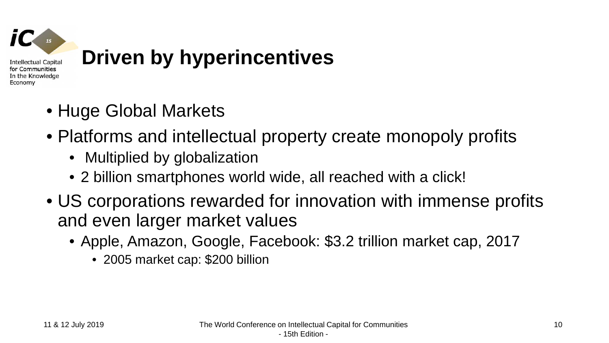

- Huge Global Markets
- Platforms and intellectual property create monopoly profits
	- Multiplied by globalization
	- 2 billion smartphones world wide, all reached with a click!
- US corporations rewarded for innovation with immense profits and even larger market values
	- Apple, Amazon, Google, Facebook: \$3.2 trillion market cap, 2017
		- 2005 market cap: \$200 billion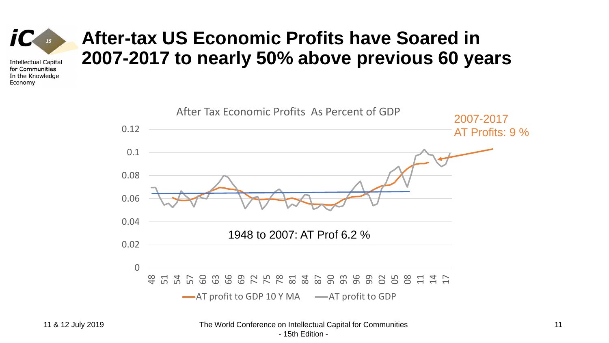#### *iC* 15

**Intellectual Capital** for Communities In the Knowledge Economy

# **After-tax US Economic Profits have Soared in 2007-2017 to nearly 50% above previous 60 years**

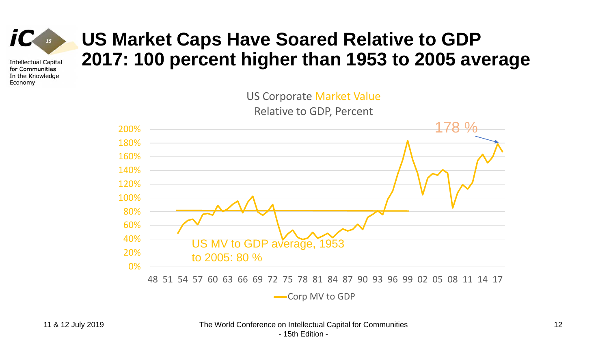

#### **US Market Caps Have Soared Relative to GDP 2017: 100 percent higher than 1953 to 2005 average**



US Corporate Market Value Relative to GDP, Percent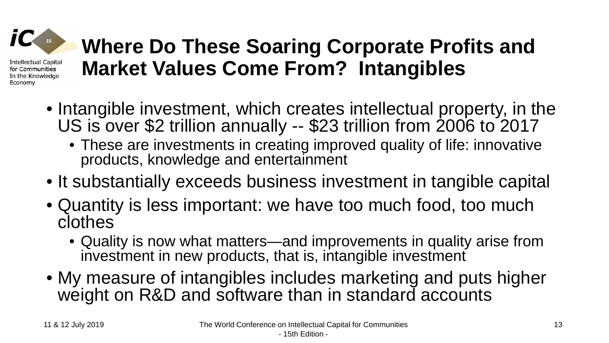#### **Where Do These Soaring Corporate Profits and Market Values Come From? Intangibles** Intellectual Capital In the Knowledge

- Intangible investment, which creates intellectual property, in the US is over \$2 trillion annually -- \$23 trillion from 2006 to 2017
	- These are investments in creating improved quality of life: innovative products, knowledge and entertainment
- It substantially exceeds business investment in tangible capital
- Quantity is less important: we have too much food, too much clothes
	- Quality is now what matters—and improvements in quality arise from investment in new products, that is, intangible investment
- My measure of intangibles includes marketing and puts higher weight on R&D and software than in standard accounts

for Communities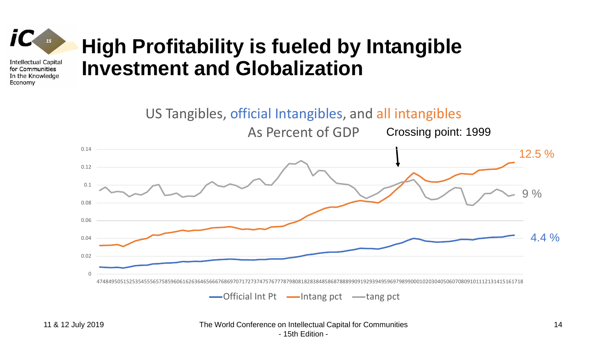

### **High Profitability is fueled by Intangible Investment and Globalization**

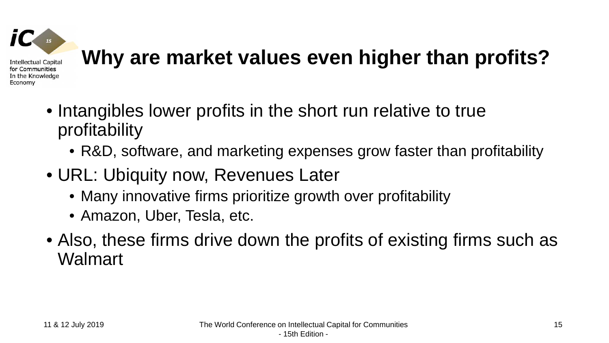

Economy

# **Why are market values even higher than profits?**

- Intangibles lower profits in the short run relative to true profitability
	- R&D, software, and marketing expenses grow faster than profitability
- URL: Ubiquity now, Revenues Later
	- Many innovative firms prioritize growth over profitability
	- Amazon, Uber, Tesla, etc.
- Also, these firms drive down the profits of existing firms such as Walmart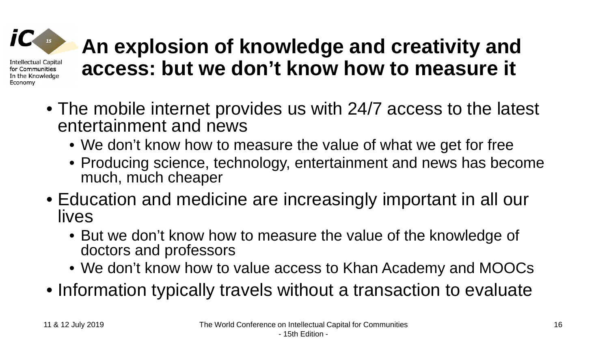# **An explosion of knowledge and creativity and access: but we don't know how to measure it**

- The mobile internet provides us with 24/7 access to the latest entertainment and news
	- We don't know how to measure the value of what we get for free
	- Producing science, technology, entertainment and news has become much, much cheaper
- Education and medicine are increasingly important in all our lives
	- But we don't know how to measure the value of the knowledge of doctors and professors
	- We don't know how to value access to Khan Academy and MOOCs
- Information typically travels without a transaction to evaluate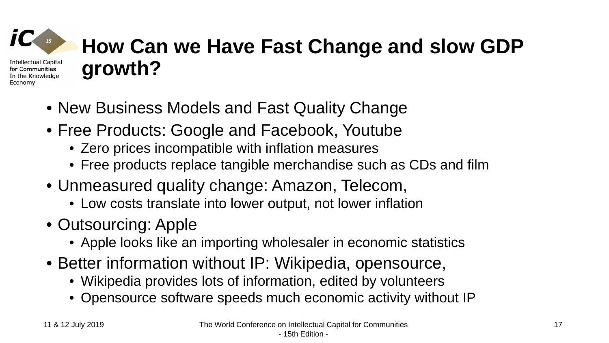#### **How Can we Have Fast Change and slow GDP**  Intellectual Capital **growth?** for Communities In the Knowledge

- New Business Models and Fast Quality Change
- Free Products: Google and Facebook, Youtube
	- Zero prices incompatible with inflation measures
	- Free products replace tangible merchandise such as CDs and film
- Unmeasured quality change: Amazon, Telecom,
	- Low costs translate into lower output, not lower inflation
- Outsourcing: Apple
	- Apple looks like an importing wholesaler in economic statistics
- Better information without IP: Wikipedia, opensource,
	- Wikipedia provides lots of information, edited by volunteers
	- Opensource software speeds much economic activity without IP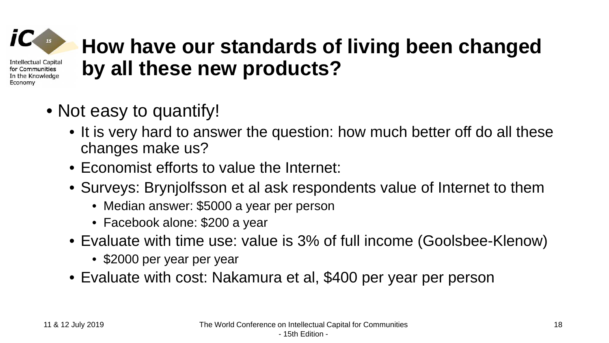# **How have our standards of living been changed by all these new products?**

- Not easy to quantify!
	- It is very hard to answer the question: how much better off do all these changes make us?
	- Economist efforts to value the Internet:
	- Surveys: Brynjolfsson et al ask respondents value of Internet to them
		- Median answer: \$5000 a year per person
		- Facebook alone: \$200 a year
	- Evaluate with time use: value is 3% of full income (Goolsbee-Klenow)
		- \$2000 per year per year
	- Evaluate with cost: Nakamura et al, \$400 per year per person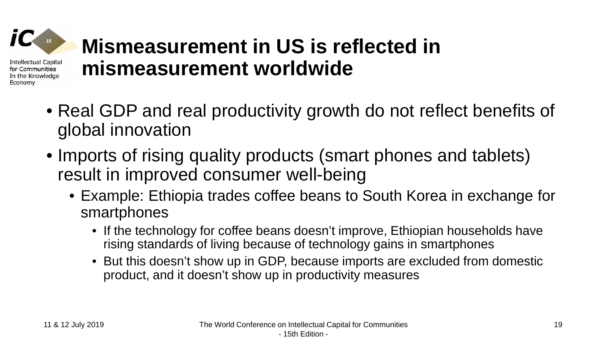#### **Mismeasurement in US is reflected in**  Intellectual Capital **mismeasurement worldwide** for Communities In the Knowledge

- Real GDP and real productivity growth do not reflect benefits of global innovation
- Imports of rising quality products (smart phones and tablets) result in improved consumer well-being
	- Example: Ethiopia trades coffee beans to South Korea in exchange for smartphones
		- If the technology for coffee beans doesn't improve, Ethiopian households have rising standards of living because of technology gains in smartphones
		- But this doesn't show up in GDP, because imports are excluded from domestic product, and it doesn't show up in productivity measures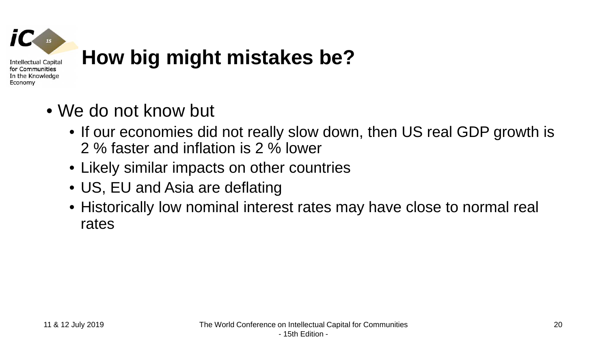

### **How big might mistakes be?**

- We do not know but
	- If our economies did not really slow down, then US real GDP growth is 2 % faster and inflation is 2 % lower
	- Likely similar impacts on other countries
	- US, EU and Asia are deflating
	- Historically low nominal interest rates may have close to normal real rates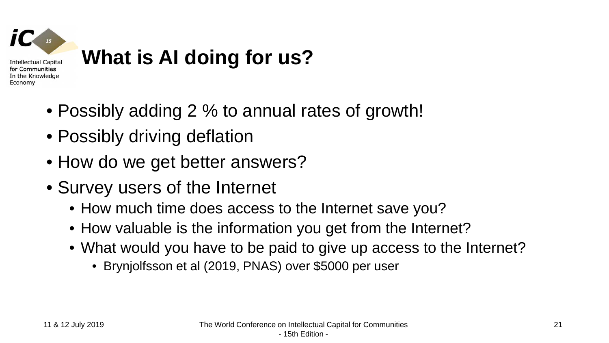

- Possibly adding 2 % to annual rates of growth!
- Possibly driving deflation
- How do we get better answers?
- Survey users of the Internet
	- How much time does access to the Internet save you?
	- How valuable is the information you get from the Internet?
	- What would you have to be paid to give up access to the Internet?
		- Brynjolfsson et al (2019, PNAS) over \$5000 per user